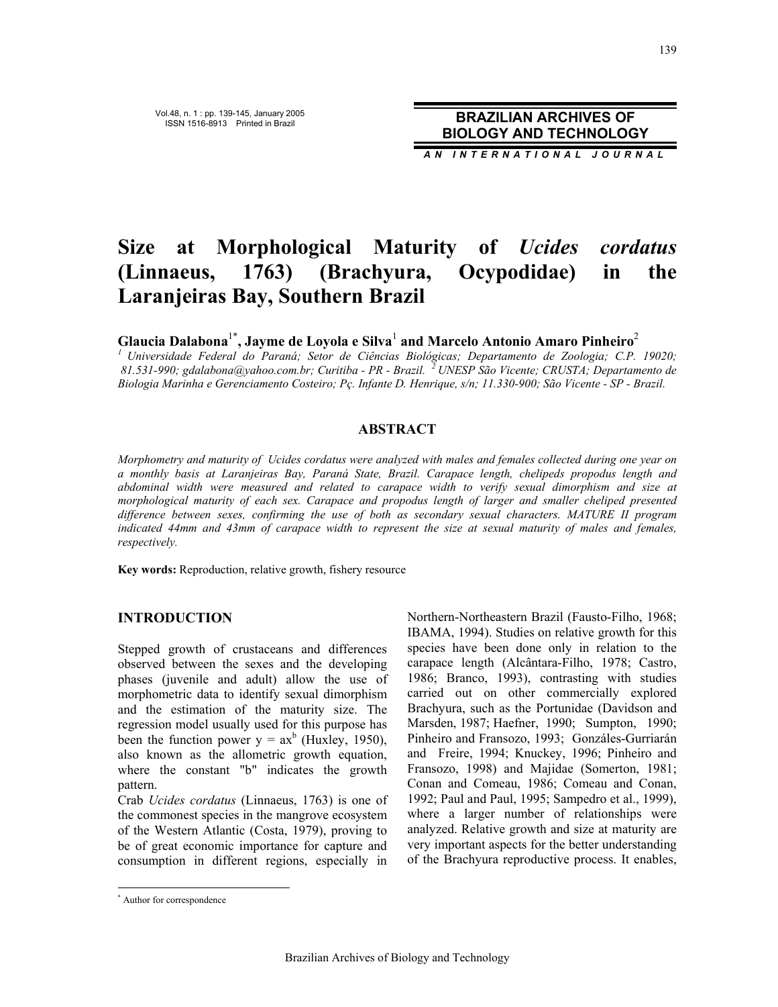Vol.48, n. 1 : pp. 139-145, January 2005 ISSN 1516-8913 Printed in Brazil **BRAZILIAN ARCHIVES OF BIOLOGY AND TECHNOLOGY**

*AN INTERNATIONAL JOURNAL*

# **Size at Morphological Maturity of** *Ucides cordatus* **(Linnaeus, 1763) (Brachyura, Ocypodidae) in the Laranjeiras Bay, Southern Brazil**

**Glaucia Dalabona**1\***, Jayme de Loyola e Silva**<sup>1</sup>  **and Marcelo Antonio Amaro Pinheiro**<sup>2</sup>

*1 Universidade Federal do Paraná; Setor de Ciências Biológicas; Departamento de Zoologia; C.P. 19020; 81.531-990; gdalabona@yahoo.com.br; Curitiba - PR - Brazil. 2 UNESP São Vicente; CRUSTA; Departamento de Biologia Marinha e Gerenciamento Costeiro; Pç. Infante D. Henrique, s/n; 11.330-900; São Vicente - SP - Brazil.* 

## **ABSTRACT**

*Morphometry and maturity of Ucides cordatus were analyzed with males and females collected during one year on a monthly basis at Laranjeiras Bay, Paraná State, Brazil. Carapace length, chelipeds propodus length and abdominal width were measured and related to carapace width to verify sexual dimorphism and size at morphological maturity of each sex. Carapace and propodus length of larger and smaller cheliped presented difference between sexes, confirming the use of both as secondary sexual characters. MATURE II program indicated 44mm and 43mm of carapace width to represent the size at sexual maturity of males and females, respectively.* 

**Key words:** Reproduction, relative growth, fishery resource

# **INTRODUCTION**

Stepped growth of crustaceans and differences observed between the sexes and the developing phases (juvenile and adult) allow the use of morphometric data to identify sexual dimorphism and the estimation of the maturity size. The regression model usually used for this purpose has been the function power  $y = ax^b$  (Huxley, 1950), also known as the allometric growth equation, where the constant "b" indicates the growth pattern.

Crab *Ucides cordatus* (Linnaeus, 1763) is one of the commonest species in the mangrove ecosystem of the Western Atlantic (Costa, 1979), proving to be of great economic importance for capture and consumption in different regions, especially in Northern-Northeastern Brazil (Fausto-Filho, 1968; IBAMA, 1994). Studies on relative growth for this species have been done only in relation to the carapace length (Alcântara-Filho, 1978; Castro, 1986; Branco, 1993), contrasting with studies carried out on other commercially explored Brachyura, such as the Portunidae (Davidson and Marsden, 1987; Haefner, 1990; Sumpton, 1990; Pinheiro and Fransozo, 1993; Gonzáles-Gurriarán and Freire, 1994; Knuckey, 1996; Pinheiro and Fransozo, 1998) and Majidae (Somerton, 1981; Conan and Comeau, 1986; Comeau and Conan, 1992; Paul and Paul, 1995; Sampedro et al., 1999), where a larger number of relationships were analyzed. Relative growth and size at maturity are very important aspects for the better understanding of the Brachyura reproductive process. It enables,

 $\overline{a}$ 

<sup>\*</sup> Author for correspondence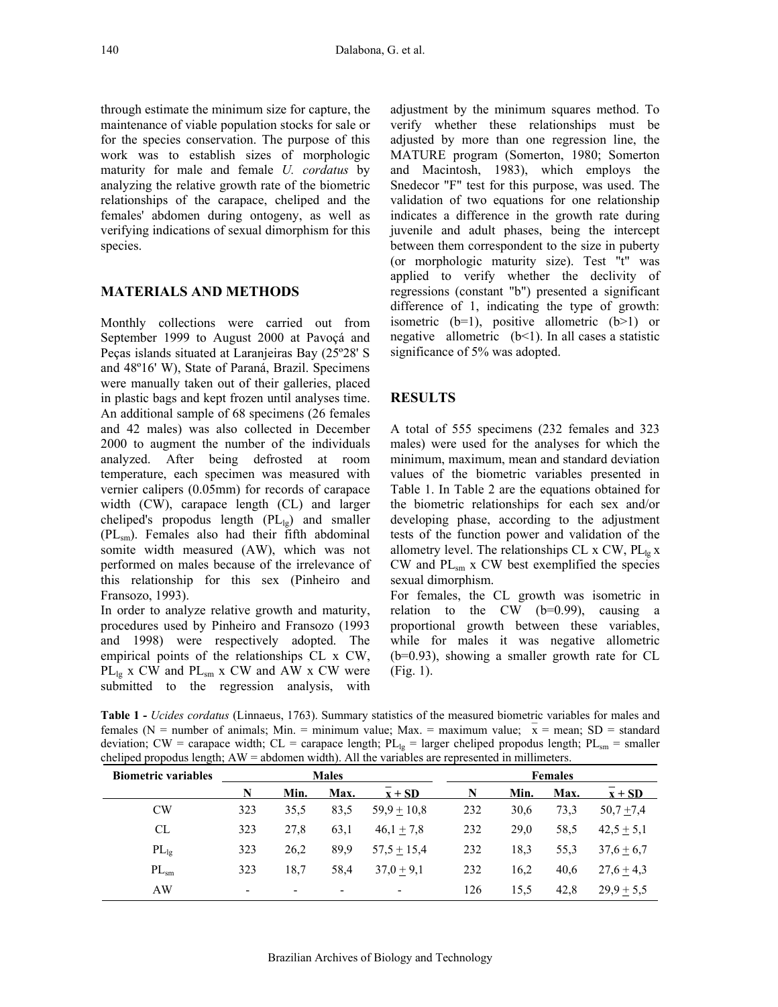through estimate the minimum size for capture, the maintenance of viable population stocks for sale or for the species conservation. The purpose of this work was to establish sizes of morphologic maturity for male and female *U. cordatus* by analyzing the relative growth rate of the biometric relationships of the carapace, cheliped and the females' abdomen during ontogeny, as well as verifying indications of sexual dimorphism for this species.

# **MATERIALS AND METHODS**

Monthly collections were carried out from September 1999 to August 2000 at Pavoçá and Peças islands situated at Laranjeiras Bay (25º28' S and 48º16' W), State of Paraná, Brazil. Specimens were manually taken out of their galleries, placed in plastic bags and kept frozen until analyses time. An additional sample of 68 specimens (26 females and 42 males) was also collected in December 2000 to augment the number of the individuals analyzed. After being defrosted at room temperature, each specimen was measured with vernier calipers (0.05mm) for records of carapace width (CW), carapace length (CL) and larger cheliped's propodus length  $(PL_{1g})$  and smaller (PLѕm). Females also had their fifth abdominal somite width measured (AW), which was not performed on males because of the irrelevance of this relationship for this sex (Pinheiro and Fransozo, 1993).

In order to analyze relative growth and maturity, procedures used by Pinheiro and Fransozo (1993 and 1998) were respectively adopted. The empirical points of the relationships CL x CW,  $PL_{lg}$  x CW and  $PL_{sm}$  x CW and AW x CW were submitted to the regression analysis, with

adjustment by the minimum squares method. To verify whether these relationships must be adjusted by more than one regression line, the MATURE program (Somerton, 1980; Somerton and Macintosh, 1983), which employs the Snedecor "F" test for this purpose, was used. The validation of two equations for one relationship indicates a difference in the growth rate during juvenile and adult phases, being the intercept between them correspondent to the size in puberty (or morphologic maturity size). Test "t" was applied to verify whether the declivity of regressions (constant "b") presented a significant difference of 1, indicating the type of growth: isometric  $(b=1)$ , positive allometric  $(b>1)$  or negative allometric  $(b<1)$ . In all cases a statistic significance of 5% was adopted.

# **RESULTS**

A total of 555 specimens (232 females and 323 males) were used for the analyses for which the minimum, maximum, mean and standard deviation values of the biometric variables presented in Table 1. In Table 2 are the equations obtained for the biometric relationships for each sex and/or developing phase, according to the adjustment tests of the function power and validation of the allometry level. The relationships CL  $x$  CW,  $PL_{1\sigma} x$  $CW$  and  $PL_{sm}$  x  $CW$  best exemplified the species sexual dimorphism.

For females, the CL growth was isometric in relation to the  $CW$  (b=0.99), causing a proportional growth between these variables, while for males it was negative allometric (b=0.93), showing a smaller growth rate for CL (Fig. 1).

**Table 1 -** *Ucides cordatus* (Linnaeus, 1763). Summary statistics of the measured biometric variables for males and females (N = number of animals; Min. = minimum value; Max. = maximum value;  $\bar{x}$  = mean; SD = standard deviation; CW = carapace width; CL = carapace length;  $PL_{1g}$  = larger cheliped propodus length;  $PL_{sm}$  = smaller cheliped propodus length; AW = abdomen width). All the variables are represented in millimeters.

| <b>Biometric variables</b> | <b>Males</b>             |                          |                          |               | <b>Females</b> |      |      |                            |
|----------------------------|--------------------------|--------------------------|--------------------------|---------------|----------------|------|------|----------------------------|
|                            | N                        | Min.                     | Max.                     | $x + SD$      | N              | Min. | Max. | $\mathbf{x} + \mathbf{SD}$ |
| CW                         | 323                      | 35.5                     | 83.5                     | $59.9 + 10.8$ | 232            | 30.6 | 73.3 | $50,7 + 7,4$               |
| CL                         | 323                      | 27.8                     | 63,1                     | $46.1 + 7.8$  | 232            | 29,0 | 58.5 | $42,5 + 5,1$               |
| $PL_{1g}$                  | 323                      | 26,2                     | 89.9                     | $57.5 + 15.4$ | 232            | 18.3 | 55,3 | $37,6 \pm 6,7$             |
| $PL_{sm}$                  | 323                      | 18.7                     | 58.4                     | $37,0+9,1$    | 232            | 16.2 | 40.6 | $27.6 \pm 4.3$             |
| AW                         | $\overline{\phantom{a}}$ | $\overline{\phantom{0}}$ | $\overline{\phantom{a}}$ |               | 126            | 15.5 | 42.8 | $29.9 \pm 5.5$             |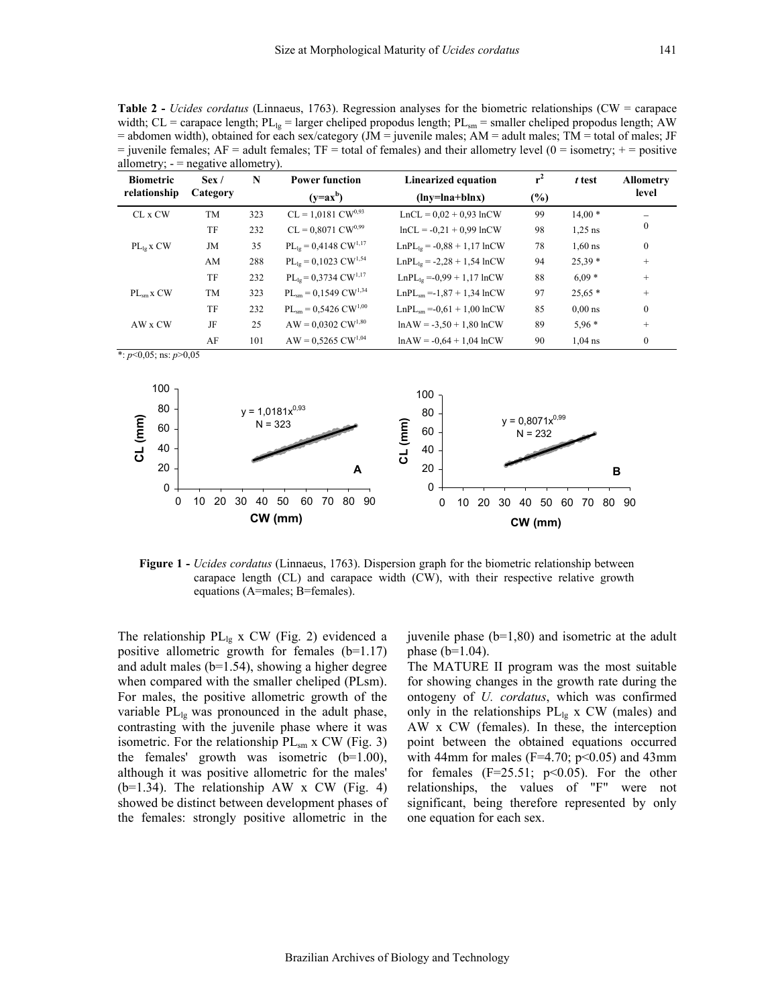**Table 2 -** *Ucides cordatus* (Linnaeus, 1763). Regression analyses for the biometric relationships (CW = carapace width; CL = carapace length;  $PL_{lg}$  = larger cheliped propodus length;  $PL_{sm}$  = smaller cheliped propodus length; AW = abdomen width), obtained for each sex/category (JM = juvenile males; AM = adult males; TM = total of males; JF  $=$  juvenile females; AF  $=$  adult females; TF  $=$  total of females) and their allometry level (0  $=$  isometry;  $+$   $=$  positive allometry;  $-$  = negative allometry).

| J /<br><b>Biometric</b> | Sex/      | N   | J /<br><b>Power function</b>          | <b>Linearized equation</b>      | $r^2$  | t test    | <b>Allometry</b> |
|-------------------------|-----------|-----|---------------------------------------|---------------------------------|--------|-----------|------------------|
| relationship            | Category  |     | $(y=ax^b)$                            | $(lny=lna+blnx)$                | $(\%)$ |           | level            |
| CL x CW                 | <b>TM</b> | 323 | $CL = 1,0181 CW^{0,93}$               | $LnCL = 0.02 + 0.93 lnCW$       | 99     | $14,00*$  |                  |
|                         | TF        | 232 | $CL = 0,8071$ $CW^{0,99}$             | $lnCL = -0.21 + 0.99 lnCW$      | 98     | $1.25$ ns | $\bf{0}$         |
| $PL_{le}$ x $CW$        | JM        | 35  | $PL_{lg} = 0,4148 \text{ CW}^{1,17}$  | $LnPL_{19} = -0.88 + 1.17 lnCW$ | 78     | $1.60$ ns | $\mathbf{0}$     |
|                         | AM        | 288 | $PL_{lg} = 0,1023$ CW <sup>1,54</sup> | $LnPL_{19} = -2,28 + 1,54 lnCW$ | 94     | $25,39*$  | $^{+}$           |
|                         | TF        | 232 | $PL_{lg} = 0,3734 \text{ CW}^{1,17}$  | $LnPL_{19} = -0.99 + 1.17 lnCW$ | 88     | $6.09*$   | $^{+}$           |
| $PL_{sm}$ x $CW$        | <b>TM</b> | 323 | $PL_{sm} = 0,1549 \text{ CW}^{1,34}$  | $LnPLsm = -1.87 + 1.34 lnCW$    | 97     | $25.65*$  | $+$              |
|                         | TF        | 232 | $PL_{sm} = 0,5426$ CW <sup>1,00</sup> | $LnPLsm = -0.61 + 1.00 lnCW$    | 85     | $0.00$ ns | $\mathbf{0}$     |
| AW x CW                 | JF        | 25  | $AW = 0,0302 CW^{1,80}$               | $lnAW = -3.50 + 1.80 lnCW$      | 89     | $5.96*$   | $^{+}$           |
|                         | AF        | 101 | $AW = 0.5265 CW^{1,04}$               | $lnAW = -0.64 + 1.04 lnCW$      | 90     | $1.04$ ns | $\mathbf{0}$     |

\*: *p*<0,05; ns: *p*>0,05



**Figure 1 -** *Ucides cordatus* (Linnaeus, 1763). Dispersion graph for the biometric relationship between carapace length (CL) and carapace width (CW), with their respective relative growth equations (A=males; B=females).

The relationship  $PL_{lg}$  x CW (Fig. 2) evidenced a positive allometric growth for females (b=1.17) and adult males (b=1.54), showing a higher degree when compared with the smaller cheliped (PLsm). For males, the positive allometric growth of the variable  $PL_{lg}$  was pronounced in the adult phase, contrasting with the juvenile phase where it was isometric. For the relationship  $PL_{sm}$  x CW (Fig. 3) the females' growth was isometric  $(b=1.00)$ , although it was positive allometric for the males'  $(b=1.34)$ . The relationship AW x CW (Fig. 4) showed be distinct between development phases of the females: strongly positive allometric in the juvenile phase  $(b=1,80)$  and isometric at the adult phase  $(b=1.04)$ .

The MATURE II program was the most suitable for showing changes in the growth rate during the ontogeny of *U. cordatus*, which was confirmed only in the relationships  $PL_{lg}$  x CW (males) and AW x CW (females). In these, the interception point between the obtained equations occurred with 44mm for males ( $F=4.70$ ;  $p<0.05$ ) and 43mm for females  $(F=25.51; p<0.05)$ . For the other relationships, the values of "F" were not significant, being therefore represented by only one equation for each sex.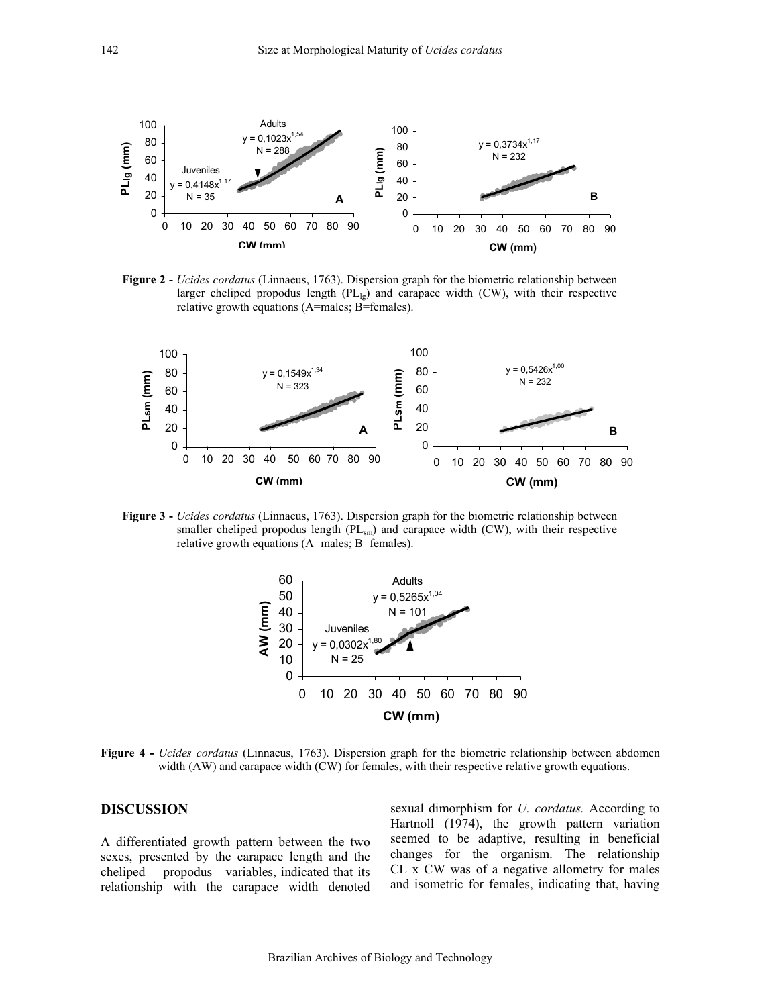

**Figure 2 -** *Ucides cordatus* (Linnaeus, 1763). Dispersion graph for the biometric relationship between larger cheliped propodus length (PLlg) and carapace width (CW), with their respective relative growth equations (A=males; B=females).



**Figure 3 -** *Ucides cordatus* (Linnaeus, 1763). Dispersion graph for the biometric relationship between smaller cheliped propodus length  $(PL_{sm})$  and carapace width  $(CW)$ , with their respective relative growth equations (A=males; B=females).



**Figure 4 -** *Ucides cordatus* (Linnaeus, 1763). Dispersion graph for the biometric relationship between abdomen width (AW) and carapace width (CW) for females, with their respective relative growth equations.

#### **DISCUSSION**

A differentiated growth pattern between the two sexes, presented by the carapace length and the cheliped propodus variables, indicated that its relationship with the carapace width denoted sexual dimorphism for *U. cordatus.* According to Hartnoll (1974), the growth pattern variation seemed to be adaptive, resulting in beneficial changes for the organism. The relationship CL x CW was of a negative allometry for males and isometric for females, indicating that, having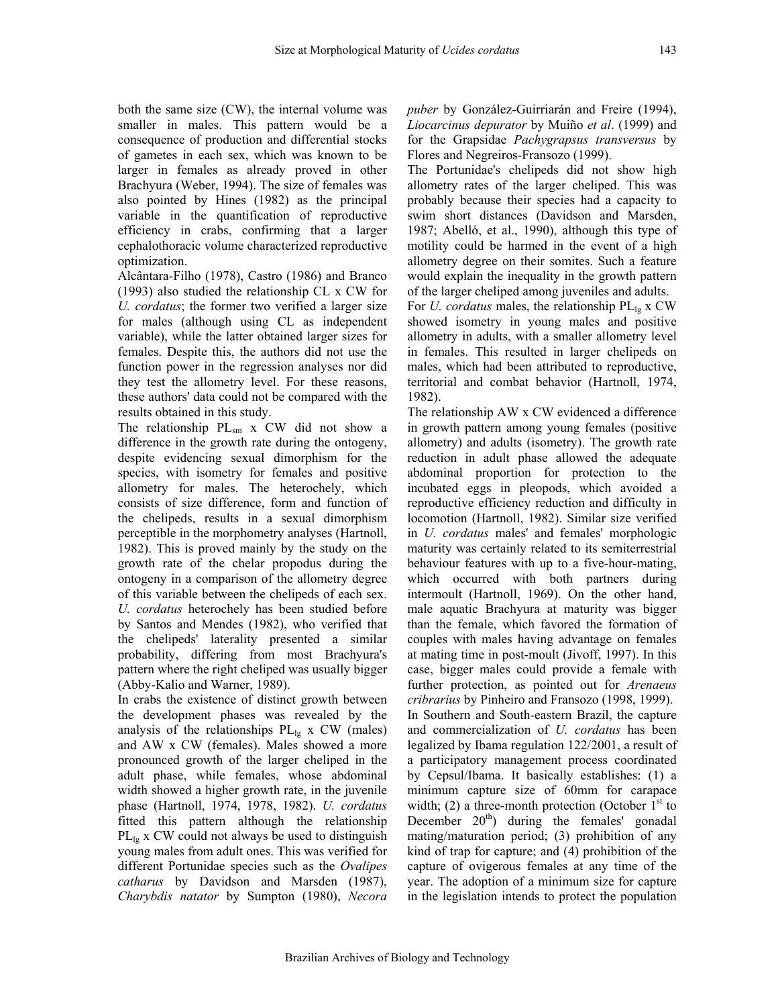both the same size (CW), the internal volume was smaller in males. This pattern would be a consequence of production and differential stocks of gametes in each sex, which was known to be larger in females as already proved in other Brachyura (Weber, 1994). The size of females was also pointed by Hines (1982) as the principal variable in the quantification of reproductive efficiency in crabs, confirming that a larger cephalothoracic volume characterized reproductive optimization.

Alcântara-Filho (1978), Castro (1986) and Branco (1993) also studied the relationship CL x CW for *U. cordatus*; the former two verified a larger size for males (although using CL as independent variable), while the latter obtained larger sizes for females. Despite this, the authors did not use the function power in the regression analyses nor did they test the allometry level. For these reasons, these authors' data could not be compared with the results obtained in this study.

The relationship  $PL_{sm}$  x CW did not show a difference in the growth rate during the ontogeny, despite evidencing sexual dimorphism for the species, with isometry for females and positive allometry for males. The heterochely, which consists of size difference, form and function of the chelipeds, results in a sexual dimorphism perceptible in the morphometry analyses (Hartnoll, 1982). This is proved mainly by the study on the growth rate of the chelar propodus during the ontogeny in a comparison of the allometry degree of this variable between the chelipeds of each sex. *U. cordatus* heterochely has been studied before by Santos and Mendes (1982), who verified that the chelipeds' laterality presented a similar probability, differing from most Brachyura's pattern where the right cheliped was usually bigger (Abby-Kalio and Warner, 1989).

In crabs the existence of distinct growth between the development phases was revealed by the analysis of the relationships  $PL_{lg}$  x CW (males) and AW x CW (females). Males showed a more pronounced growth of the larger cheliped in the adult phase, while females, whose abdominal width showed a higher growth rate, in the juvenile phase (Hartnoll, 1974, 1978, 1982). *U. cordatus* fitted this pattern although the relationship  $PL_{1g}$  x CW could not always be used to distinguish young males from adult ones. This was verified for different Portunidae species such as the *Ovalipes catharus* by Davidson and Marsden (1987), *Charybdis natator* by Sumpton (1980), *Necora*  *puber* by González-Guirriarán and Freire (1994), *Liocarcinus depurator* by Muiño *et al*. (1999) and for the Grapsidae *Pachygrapsus transversus* by Flores and Negreiros-Fransozo (1999).

The Portunidae's chelipeds did not show high allometry rates of the larger cheliped. This was probably because their species had a capacity to swim short distances (Davidson and Marsden, 1987; Abelló, et al., 1990), although this type of motility could be harmed in the event of a high allometry degree on their somites. Such a feature would explain the inequality in the growth pattern of the larger cheliped among juveniles and adults. For *U. cordatus* males, the relationship  $PL_{lg}$  x CW showed isometry in young males and positive allometry in adults, with a smaller allometry level in females. This resulted in larger chelipeds on males, which had been attributed to reproductive, territorial and combat behavior (Hartnoll, 1974, 1982).

The relationship AW x CW evidenced a difference in growth pattern among young females (positive allometry) and adults (isometry). The growth rate reduction in adult phase allowed the adequate abdominal proportion for protection to the incubated eggs in pleopods, which avoided a reproductive efficiency reduction and difficulty in locomotion (Hartnoll, 1982). Similar size verified in *U. cordatus* males' and females' morphologic maturity was certainly related to its semiterrestrial behaviour features with up to a five-hour-mating, which occurred with both partners during intermoult (Hartnoll, 1969). On the other hand, male aquatic Brachyura at maturity was bigger than the female, which favored the formation of couples with males having advantage on females at mating time in post-moult (Jivoff, 1997). In this case, bigger males could provide a female with further protection, as pointed out for *Arenaeus cribrarius* by Pinheiro and Fransozo (1998, 1999). In Southern and South-eastern Brazil, the capture and commercialization of *U. cordatus* has been legalized by Ibama regulation 122/2001, a result of a participatory management process coordinated by Cepsul/Ibama. It basically establishes: (1) a minimum capture size of 60mm for carapace width; (2) a three-month protection (October  $1<sup>st</sup>$  to December  $20<sup>th</sup>$  during the females' gonadal mating/maturation period; (3) prohibition of any kind of trap for capture; and (4) prohibition of the capture of ovigerous females at any time of the year. The adoption of a minimum size for capture in the legislation intends to protect the population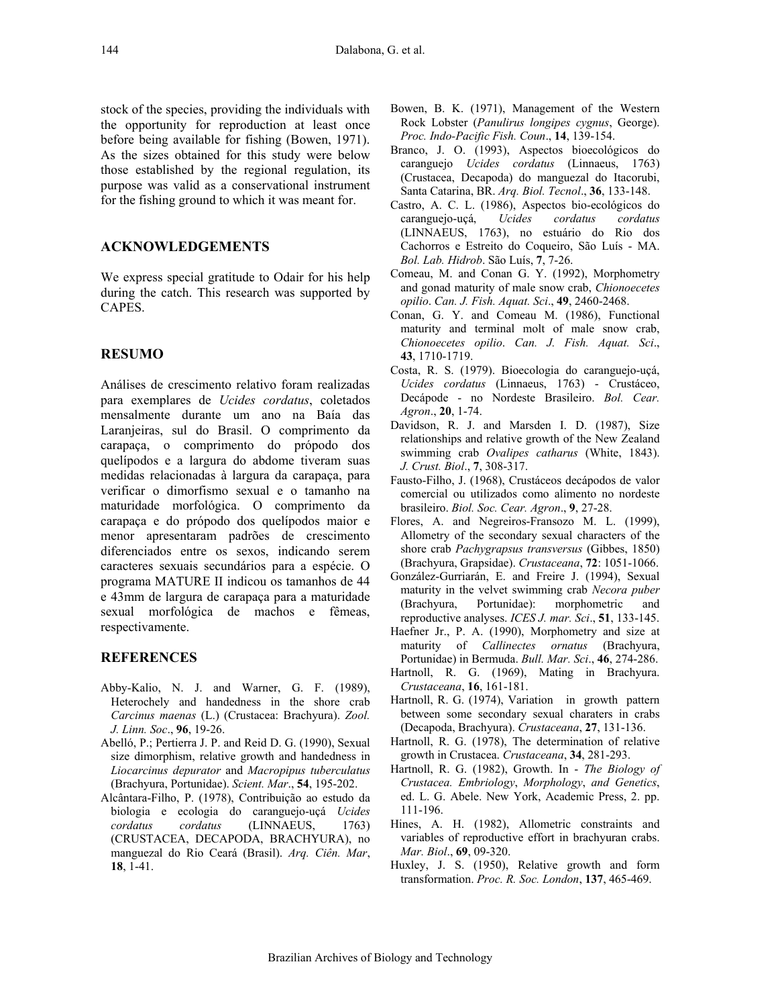stock of the species, providing the individuals with the opportunity for reproduction at least once before being available for fishing (Bowen, 1971). As the sizes obtained for this study were below those established by the regional regulation, its purpose was valid as a conservational instrument for the fishing ground to which it was meant for.

# **ACKNOWLEDGEMENTS**

We express special gratitude to Odair for his help during the catch. This research was supported by CAPES.

#### **RESUMO**

Análises de crescimento relativo foram realizadas para exemplares de *Ucides cordatus*, coletados mensalmente durante um ano na Baía das Laranjeiras, sul do Brasil. O comprimento da carapaça, o comprimento do própodo dos quelípodos e a largura do abdome tiveram suas medidas relacionadas à largura da carapaça, para verificar o dimorfismo sexual e o tamanho na maturidade morfológica. O comprimento da carapaça e do própodo dos quelípodos maior e menor apresentaram padrões de crescimento diferenciados entre os sexos, indicando serem caracteres sexuais secundários para a espécie. O programa MATURE II indicou os tamanhos de 44 e 43mm de largura de carapaça para a maturidade sexual morfológica de machos e fêmeas, respectivamente.

## **REFERENCES**

- Abby-Kalio, N. J. and Warner, G. F. (1989), Heterochely and handedness in the shore crab *Carcinus maenas* (L.) (Crustacea: Brachyura). *Zool. J. Linn. Soc*., **96**, 19-26.
- Abelló, P.; Pertierra J. P. and Reid D. G. (1990), Sexual size dimorphism, relative growth and handedness in *Liocarcinus depurator* and *Macropipus tuberculatus* (Brachyura, Portunidae). *Scient. Mar*., **54**, 195-202.
- Alcântara-Filho, P. (1978), Contribuição ao estudo da biologia e ecologia do caranguejo-uçá *Ucides cordatus cordatus* (LINNAEUS, 1763) (CRUSTACEA, DECAPODA, BRACHYURA), no manguezal do Rio Ceará (Brasil). *Arq. Ciên. Mar*, **18**, 1-41.
- Bowen, B. K. (1971), Management of the Western Rock Lobster (*Panulirus longipes cygnus*, George). *Proc. Indo-Pacific Fish. Coun*., **14**, 139-154.
- Branco, J. O. (1993), Aspectos bioecológicos do caranguejo *Ucides cordatus* (Linnaeus, 1763) (Crustacea, Decapoda) do manguezal do Itacorubi, Santa Catarina, BR. *Arq. Biol. Tecnol*., **36**, 133-148.
- Castro, A. C. L. (1986), Aspectos bio-ecológicos do caranguejo-uçá, *Ucides cordatus cordatus* (LINNAEUS, 1763), no estuário do Rio dos Cachorros e Estreito do Coqueiro, São Luís - MA. *Bol. Lab. Hidrob*. São Luís, **7**, 7-26.
- Comeau, M. and Conan G. Y. (1992), Morphometry and gonad maturity of male snow crab, *Chionoecetes opilio*. *Can. J. Fish. Aquat. Sci*., **49**, 2460-2468.
- Conan, G. Y. and Comeau M. (1986), Functional maturity and terminal molt of male snow crab, *Chionoecetes opilio*. *Can. J. Fish. Aquat. Sci*., **43**, 1710-1719.
- Costa, R. S. (1979). Bioecologia do caranguejo-uçá, *Ucides cordatus* (Linnaeus, 1763) - Crustáceo, Decápode - no Nordeste Brasileiro. *Bol. Cear. Agron*., **20**, 1-74.
- Davidson, R. J. and Marsden I. D. (1987), Size relationships and relative growth of the New Zealand swimming crab *Ovalipes catharus* (White, 1843). *J. Crust. Biol*., **7**, 308-317.
- Fausto-Filho, J. (1968), Crustáceos decápodos de valor comercial ou utilizados como alimento no nordeste brasileiro. *Biol. Soc. Cear. Agron*., **9**, 27-28.
- Flores, A. and Negreiros-Fransozo M. L. (1999), Allometry of the secondary sexual characters of the shore crab *Pachygrapsus transversus* (Gibbes, 1850) (Brachyura, Grapsidae). *Crustaceana*, **72**: 1051-1066.
- González-Gurriarán, E. and Freire J. (1994), Sexual maturity in the velvet swimming crab *Necora puber* (Brachyura, Portunidae): morphometric and reproductive analyses. *ICES J. mar. Sci*., **51**, 133-145.
- Haefner Jr., P. A. (1990), Morphometry and size at maturity of *Callinectes ornatus* (Brachyura, Portunidae) in Bermuda. *Bull. Mar. Sci*., **46**, 274-286.
- Hartnoll, R. G. (1969), Mating in Brachyura. *Crustaceana*, **16**, 161-181.
- Hartnoll, R. G. (1974), Variation in growth pattern between some secondary sexual charaters in crabs (Decapoda, Brachyura). *Crustaceana*, **27**, 131-136.
- Hartnoll, R. G. (1978), The determination of relative growth in Crustacea. *Crustaceana*, **34**, 281-293.
- Hartnoll, R. G. (1982), Growth. In *The Biology of Crustacea. Embriology*, *Morphology*, *and Genetics*, ed. L. G. Abele. New York, Academic Press, 2. pp. 111-196.
- Hines, A. H. (1982), Allometric constraints and variables of reproductive effort in brachyuran crabs. *Mar. Biol*., **69**, 09-320.
- Huxley, J. S. (1950), Relative growth and form transformation. *Proc. R. Soc. London*, **137**, 465-469.